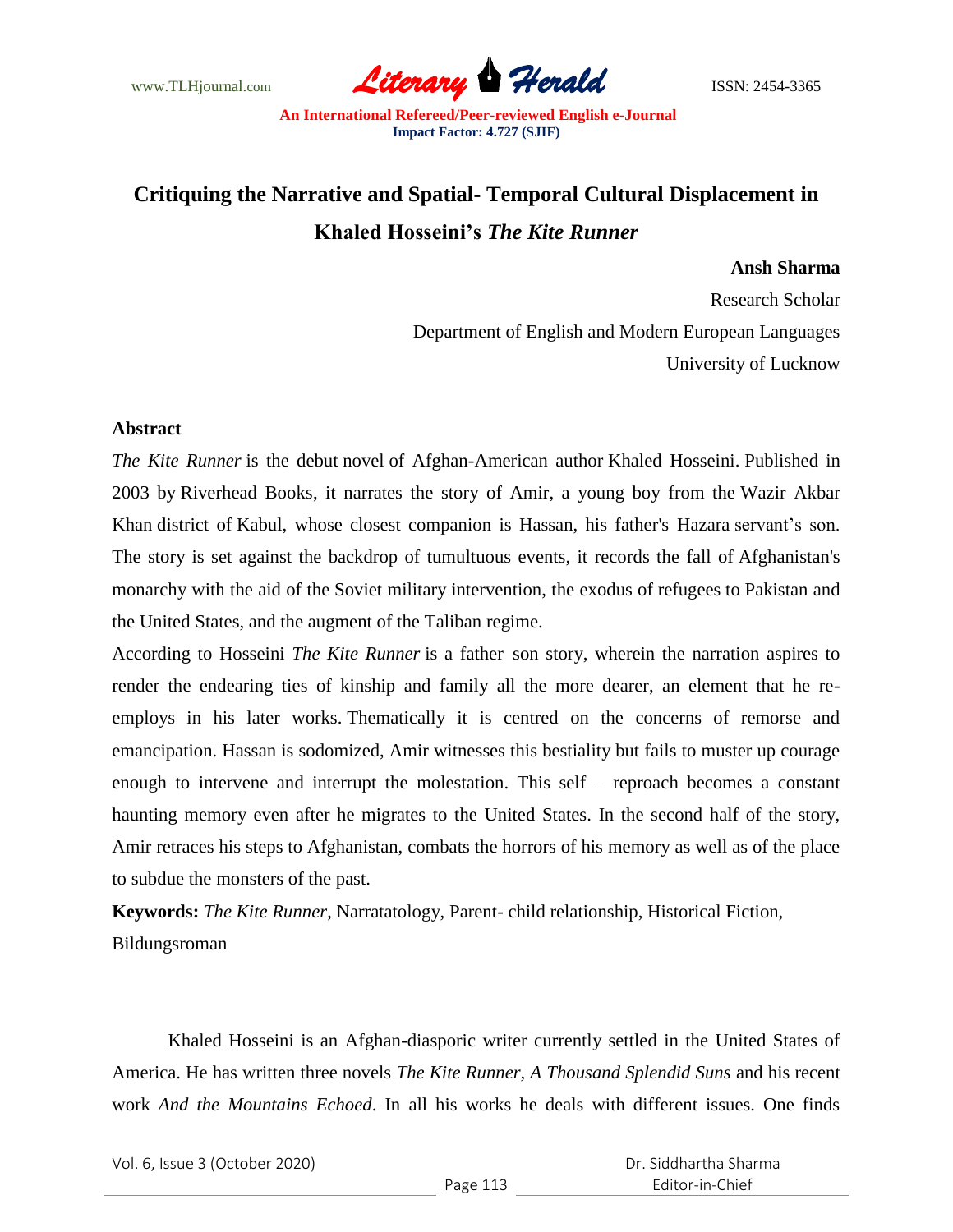www.TLHjournal.com **Literary Herald ISSN: 2454-3365** 

## **Critiquing the Narrative and Spatial- Temporal Cultural Displacement in Khaled Hosseini's** *The Kite Runner*

## **Ansh Sharma**

Research Scholar Department of English and Modern European Languages University of Lucknow

## **Abstract**

*The Kite Runner* is the debut novel of Afghan-American author Khaled Hosseini. Published in 2003 by Riverhead Books, it narrates the story of Amir, a young boy from the Wazir Akbar Khan district of Kabul, whose closest companion is Hassan, his father's Hazara servant's son. The story is set against the backdrop of tumultuous events, it records the fall of Afghanistan's monarchy with the aid of the Soviet military intervention, the exodus of refugees to Pakistan and the United States, and the augment of the Taliban regime.

According to Hosseini *The Kite Runner* is a father–son story, wherein the narration aspires to render the endearing ties of kinship and family all the more dearer, an element that he reemploys in his later works. Thematically it is centred on the concerns of remorse and emancipation. Hassan is sodomized, Amir witnesses this bestiality but fails to muster up courage enough to intervene and interrupt the molestation. This self – reproach becomes a constant haunting memory even after he migrates to the United States. In the second half of the story, Amir retraces his steps to Afghanistan, combats the horrors of his memory as well as of the place to subdue the monsters of the past.

**Keywords:** *The Kite Runner*, Narratatology, Parent- child relationship, Historical Fiction, Bildungsroman

Khaled Hosseini is an Afghan-diasporic writer currently settled in the United States of America. He has written three novels *The Kite Runner, A Thousand Splendid Suns* and his recent work *And the Mountains Echoed*. In all his works he deals with different issues. One finds

Vol. 6, Issue 3 (October 2020)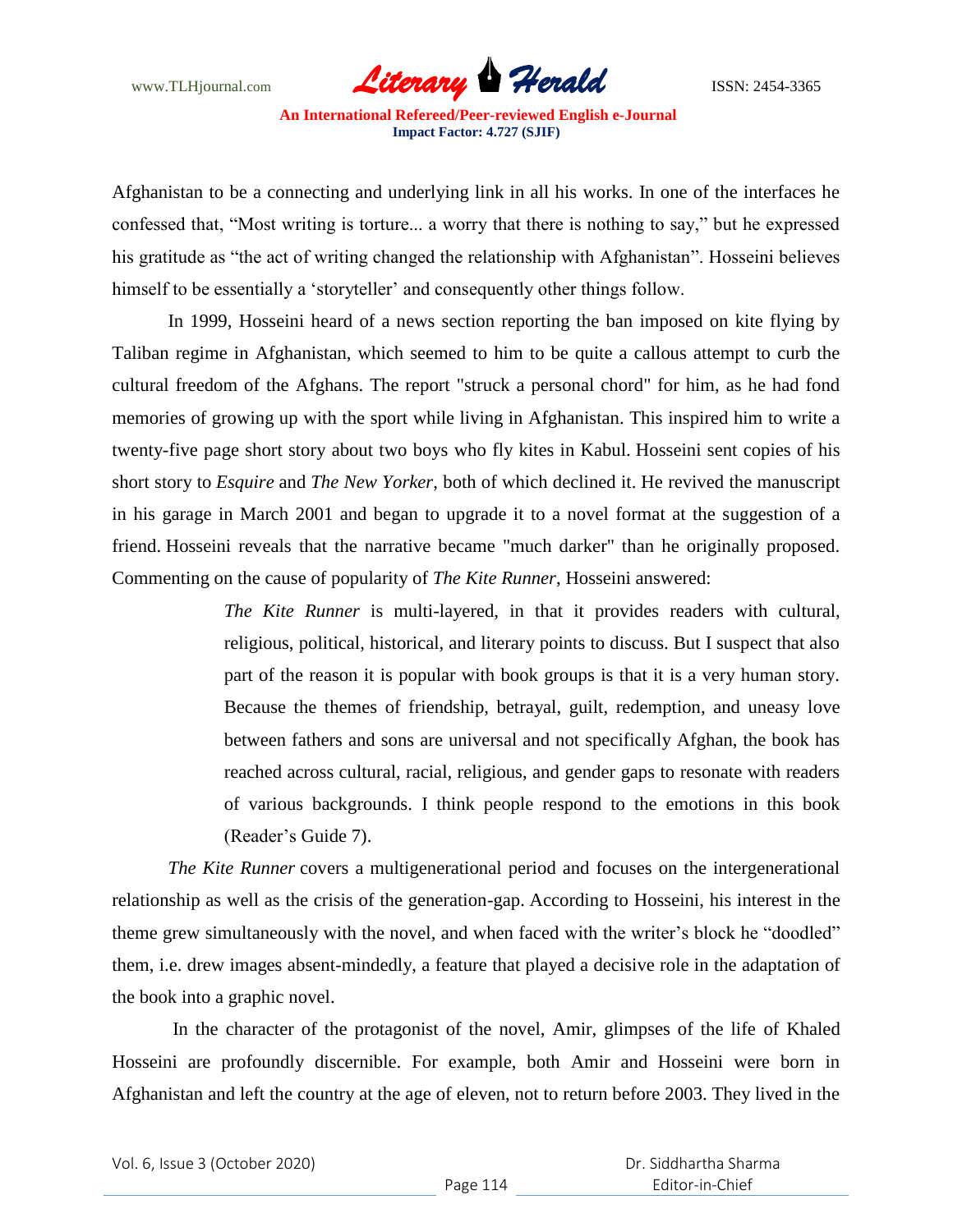

Afghanistan to be a connecting and underlying link in all his works. In one of the interfaces he confessed that, "Most writing is torture... a worry that there is nothing to say," but he expressed his gratitude as "the act of writing changed the relationship with Afghanistan". Hosseini believes himself to be essentially a 'storyteller' and consequently other things follow.

In 1999, Hosseini heard of a news section reporting the ban imposed on kite flying by Taliban regime in Afghanistan, which seemed to him to be quite a callous attempt to curb the cultural freedom of the Afghans. The report "struck a personal chord" for him, as he had fond memories of growing up with the sport while living in Afghanistan. This inspired him to write a twenty-five page short story about two boys who fly kites in Kabul. Hosseini sent copies of his short story to *Esquire* and *The New Yorker*, both of which declined it. He revived the manuscript in his garage in March 2001 and began to upgrade it to a novel format at the suggestion of a friend. Hosseini reveals that the narrative became "much darker" than he originally proposed. Commenting on the cause of popularity of *The Kite Runner*, Hosseini answered:

> *The Kite Runner* is multi-layered, in that it provides readers with cultural, religious, political, historical, and literary points to discuss. But I suspect that also part of the reason it is popular with book groups is that it is a very human story. Because the themes of friendship, betrayal, guilt, redemption, and uneasy love between fathers and sons are universal and not specifically Afghan, the book has reached across cultural, racial, religious, and gender gaps to resonate with readers of various backgrounds. I think people respond to the emotions in this book (Reader"s Guide 7).

*The Kite Runner* covers a multigenerational period and focuses on the intergenerational relationship as well as the crisis of the generation-gap. According to Hosseini, his interest in the theme grew simultaneously with the novel, and when faced with the writer"s block he "doodled" them, i.e. drew images absent-mindedly, a feature that played a decisive role in the adaptation of the book into a graphic novel.

 In the character of the protagonist of the novel, Amir, glimpses of the life of Khaled Hosseini are profoundly discernible. For example, both Amir and Hosseini were born in Afghanistan and left the country at the age of eleven, not to return before 2003. They lived in the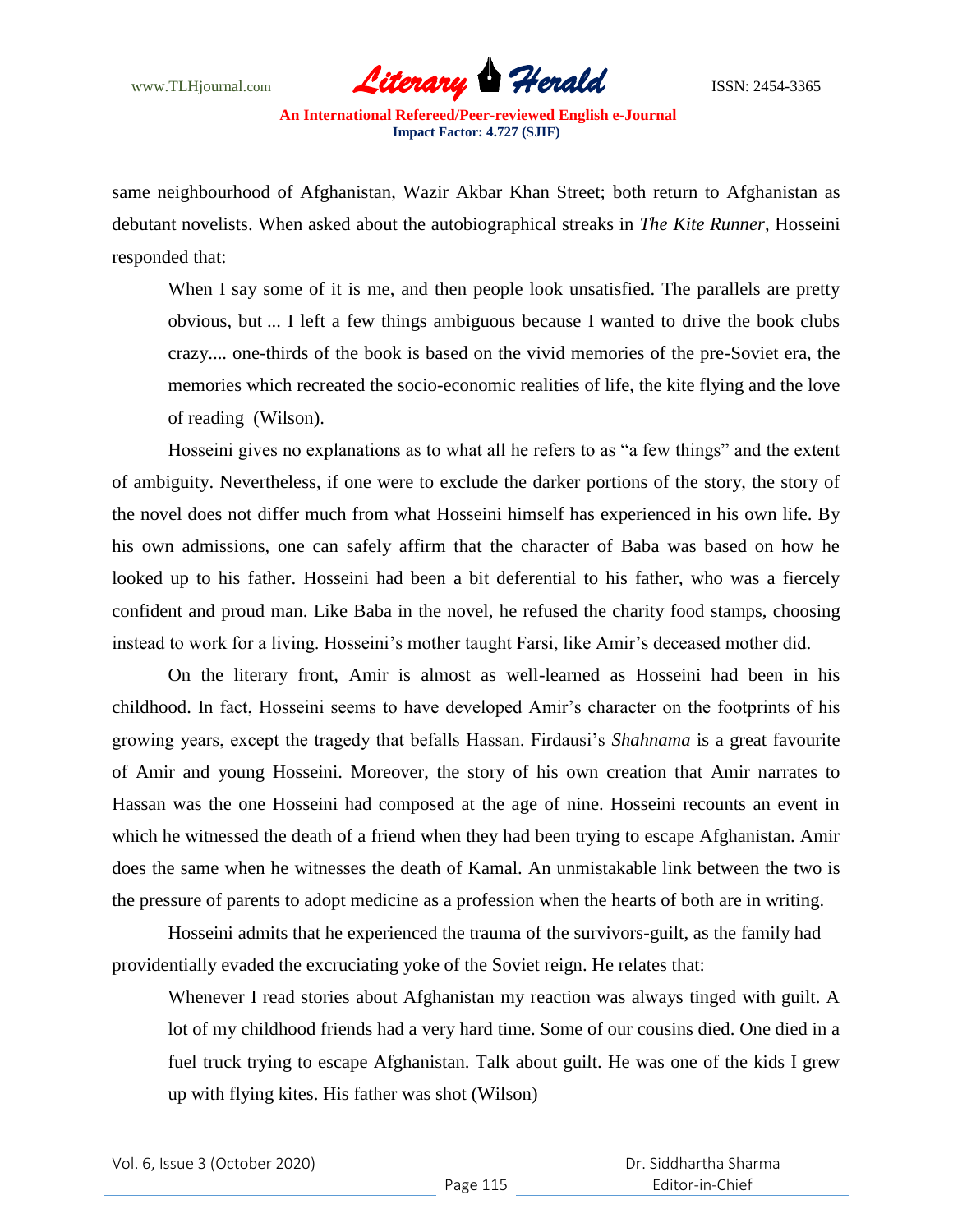

same neighbourhood of Afghanistan, Wazir Akbar Khan Street; both return to Afghanistan as debutant novelists. When asked about the autobiographical streaks in *The Kite Runner*, Hosseini responded that:

When I say some of it is me, and then people look unsatisfied. The parallels are pretty obvious, but ... I left a few things ambiguous because I wanted to drive the book clubs crazy.... one-thirds of the book is based on the vivid memories of the pre-Soviet era, the memories which recreated the socio-economic realities of life, the kite flying and the love of reading (Wilson).

Hosseini gives no explanations as to what all he refers to as "a few things" and the extent of ambiguity. Nevertheless, if one were to exclude the darker portions of the story, the story of the novel does not differ much from what Hosseini himself has experienced in his own life. By his own admissions, one can safely affirm that the character of Baba was based on how he looked up to his father. Hosseini had been a bit deferential to his father, who was a fiercely confident and proud man. Like Baba in the novel, he refused the charity food stamps, choosing instead to work for a living. Hosseini's mother taught Farsi, like Amir's deceased mother did.

On the literary front, Amir is almost as well-learned as Hosseini had been in his childhood. In fact, Hosseini seems to have developed Amir"s character on the footprints of his growing years, except the tragedy that befalls Hassan. Firdausi"s *Shahnama* is a great favourite of Amir and young Hosseini. Moreover, the story of his own creation that Amir narrates to Hassan was the one Hosseini had composed at the age of nine. Hosseini recounts an event in which he witnessed the death of a friend when they had been trying to escape Afghanistan. Amir does the same when he witnesses the death of Kamal. An unmistakable link between the two is the pressure of parents to adopt medicine as a profession when the hearts of both are in writing.

Hosseini admits that he experienced the trauma of the survivors-guilt, as the family had providentially evaded the excruciating yoke of the Soviet reign. He relates that:

Whenever I read stories about Afghanistan my reaction was always tinged with guilt. A lot of my childhood friends had a very hard time. Some of our cousins died. One died in a fuel truck trying to escape Afghanistan. Talk about guilt. He was one of the kids I grew up with flying kites. His father was shot (Wilson)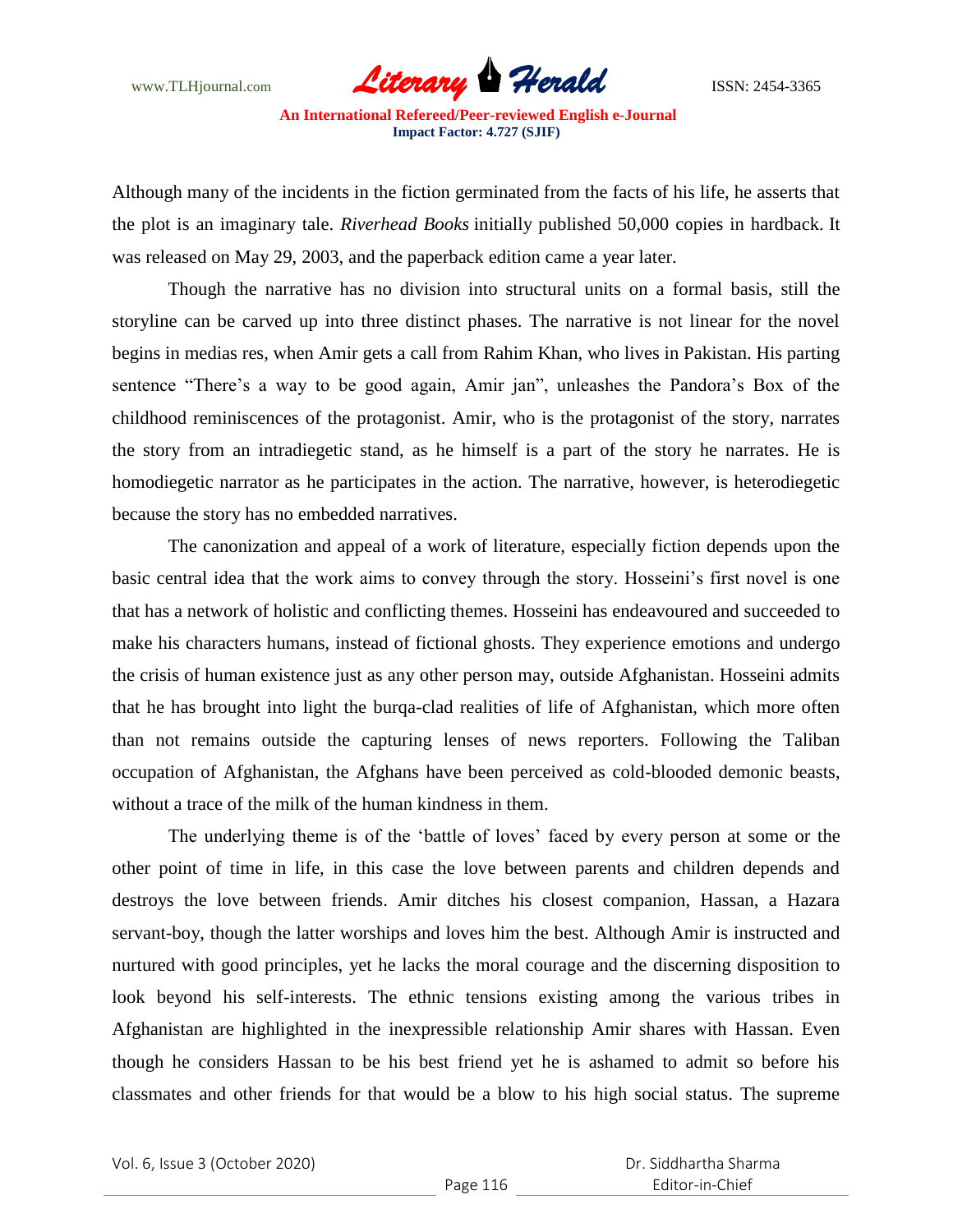

Although many of the incidents in the fiction germinated from the facts of his life, he asserts that the plot is an imaginary tale. *Riverhead Books* initially published 50,000 copies in hardback. It was released on May 29, 2003, and the paperback edition came a year later.

Though the narrative has no division into structural units on a formal basis, still the storyline can be carved up into three distinct phases. The narrative is not linear for the novel begins in medias res, when Amir gets a call from Rahim Khan, who lives in Pakistan. His parting sentence "There's a way to be good again, Amir jan", unleashes the Pandora's Box of the childhood reminiscences of the protagonist. Amir, who is the protagonist of the story, narrates the story from an intradiegetic stand, as he himself is a part of the story he narrates. He is homodiegetic narrator as he participates in the action. The narrative, however, is heterodiegetic because the story has no embedded narratives.

The canonization and appeal of a work of literature, especially fiction depends upon the basic central idea that the work aims to convey through the story. Hosseini"s first novel is one that has a network of holistic and conflicting themes. Hosseini has endeavoured and succeeded to make his characters humans, instead of fictional ghosts. They experience emotions and undergo the crisis of human existence just as any other person may, outside Afghanistan. Hosseini admits that he has brought into light the burqa-clad realities of life of Afghanistan, which more often than not remains outside the capturing lenses of news reporters. Following the Taliban occupation of Afghanistan, the Afghans have been perceived as cold-blooded demonic beasts, without a trace of the milk of the human kindness in them.

The underlying theme is of the 'battle of loves' faced by every person at some or the other point of time in life, in this case the love between parents and children depends and destroys the love between friends. Amir ditches his closest companion, Hassan, a Hazara servant-boy, though the latter worships and loves him the best. Although Amir is instructed and nurtured with good principles, yet he lacks the moral courage and the discerning disposition to look beyond his self-interests. The ethnic tensions existing among the various tribes in Afghanistan are highlighted in the inexpressible relationship Amir shares with Hassan. Even though he considers Hassan to be his best friend yet he is ashamed to admit so before his classmates and other friends for that would be a blow to his high social status. The supreme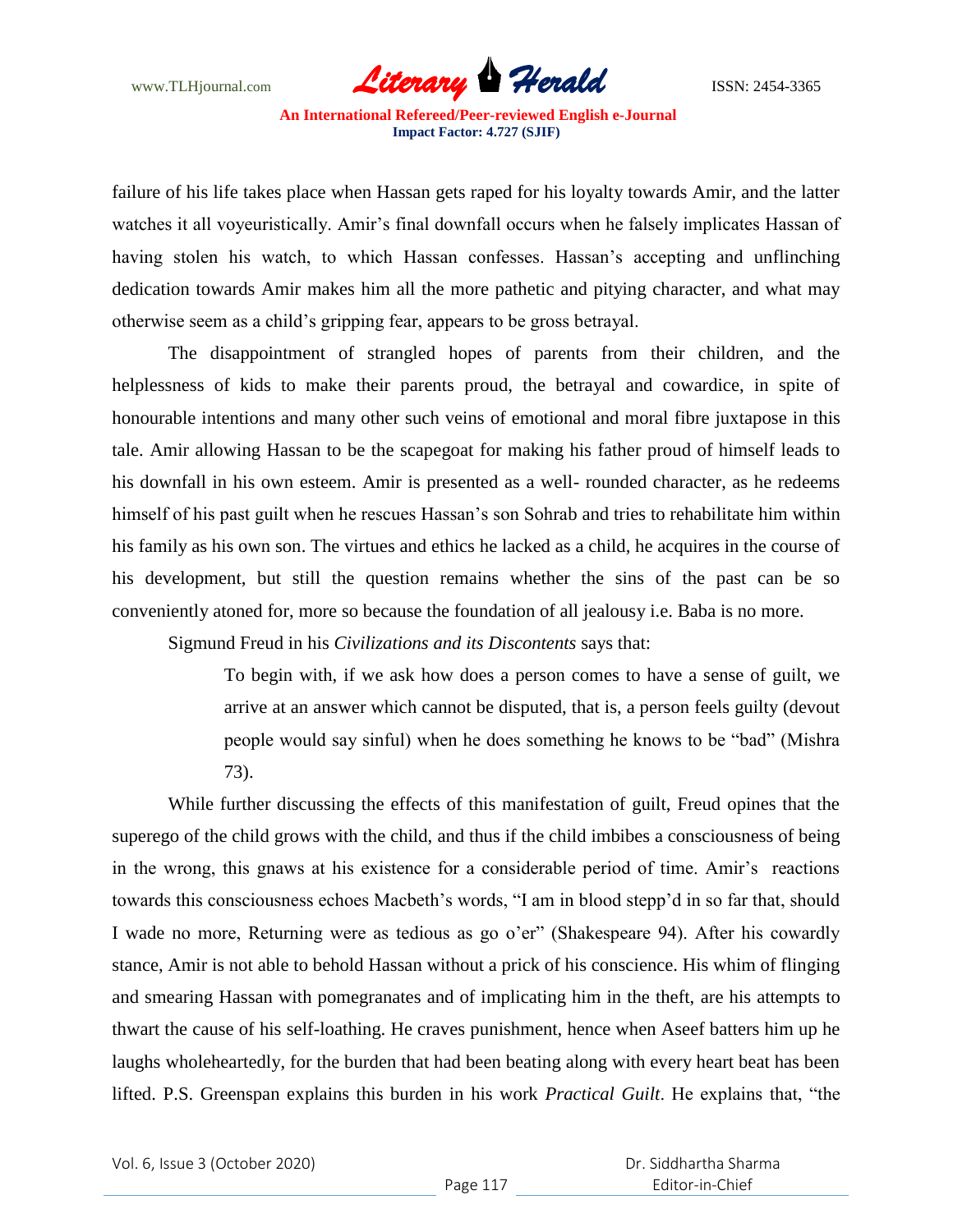

failure of his life takes place when Hassan gets raped for his loyalty towards Amir, and the latter watches it all voyeuristically. Amir's final downfall occurs when he falsely implicates Hassan of having stolen his watch, to which Hassan confesses. Hassan's accepting and unflinching dedication towards Amir makes him all the more pathetic and pitying character, and what may otherwise seem as a child"s gripping fear, appears to be gross betrayal.

The disappointment of strangled hopes of parents from their children, and the helplessness of kids to make their parents proud, the betrayal and cowardice, in spite of honourable intentions and many other such veins of emotional and moral fibre juxtapose in this tale. Amir allowing Hassan to be the scapegoat for making his father proud of himself leads to his downfall in his own esteem. Amir is presented as a well- rounded character, as he redeems himself of his past guilt when he rescues Hassan's son Sohrab and tries to rehabilitate him within his family as his own son. The virtues and ethics he lacked as a child, he acquires in the course of his development, but still the question remains whether the sins of the past can be so conveniently atoned for, more so because the foundation of all jealousy i.e. Baba is no more.

Sigmund Freud in his *Civilizations and its Discontents* says that:

To begin with, if we ask how does a person comes to have a sense of guilt, we arrive at an answer which cannot be disputed, that is, a person feels guilty (devout people would say sinful) when he does something he knows to be "bad" (Mishra 73).

While further discussing the effects of this manifestation of guilt, Freud opines that the superego of the child grows with the child, and thus if the child imbibes a consciousness of being in the wrong, this gnaws at his existence for a considerable period of time. Amir"s reactions towards this consciousness echoes Macbeth"s words, "I am in blood stepp"d in so far that, should I wade no more, Returning were as tedious as go o'er" (Shakespeare 94). After his cowardly stance, Amir is not able to behold Hassan without a prick of his conscience. His whim of flinging and smearing Hassan with pomegranates and of implicating him in the theft, are his attempts to thwart the cause of his self-loathing. He craves punishment, hence when Aseef batters him up he laughs wholeheartedly, for the burden that had been beating along with every heart beat has been lifted. P.S. Greenspan explains this burden in his work *Practical Guilt*. He explains that, "the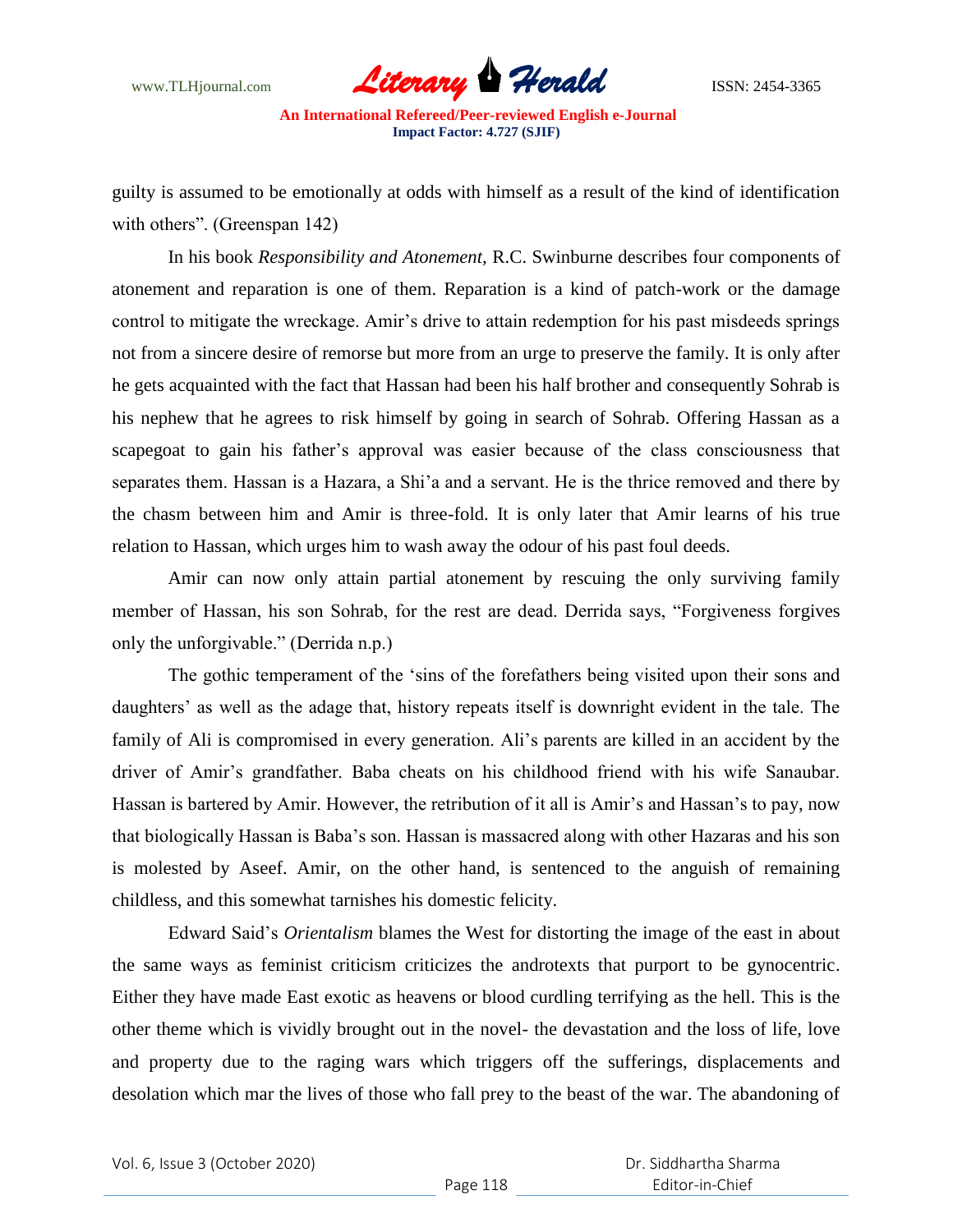

guilty is assumed to be emotionally at odds with himself as a result of the kind of identification with others". (Greenspan 142)

In his book *Responsibility and Atonement,* R.C. Swinburne describes four components of atonement and reparation is one of them. Reparation is a kind of patch-work or the damage control to mitigate the wreckage. Amir"s drive to attain redemption for his past misdeeds springs not from a sincere desire of remorse but more from an urge to preserve the family. It is only after he gets acquainted with the fact that Hassan had been his half brother and consequently Sohrab is his nephew that he agrees to risk himself by going in search of Sohrab. Offering Hassan as a scapegoat to gain his father's approval was easier because of the class consciousness that separates them. Hassan is a Hazara, a Shi'a and a servant. He is the thrice removed and there by the chasm between him and Amir is three-fold. It is only later that Amir learns of his true relation to Hassan, which urges him to wash away the odour of his past foul deeds.

Amir can now only attain partial atonement by rescuing the only surviving family member of Hassan, his son Sohrab, for the rest are dead. Derrida says, "Forgiveness forgives only the unforgivable." (Derrida n.p.)

The gothic temperament of the "sins of the forefathers being visited upon their sons and daughters' as well as the adage that, history repeats itself is downright evident in the tale. The family of Ali is compromised in every generation. Ali"s parents are killed in an accident by the driver of Amir"s grandfather. Baba cheats on his childhood friend with his wife Sanaubar. Hassan is bartered by Amir. However, the retribution of it all is Amir's and Hassan's to pay, now that biologically Hassan is Baba"s son. Hassan is massacred along with other Hazaras and his son is molested by Aseef. Amir, on the other hand, is sentenced to the anguish of remaining childless, and this somewhat tarnishes his domestic felicity.

Edward Said"s *Orientalism* blames the West for distorting the image of the east in about the same ways as feminist criticism criticizes the androtexts that purport to be gynocentric. Either they have made East exotic as heavens or blood curdling terrifying as the hell. This is the other theme which is vividly brought out in the novel- the devastation and the loss of life, love and property due to the raging wars which triggers off the sufferings, displacements and desolation which mar the lives of those who fall prey to the beast of the war. The abandoning of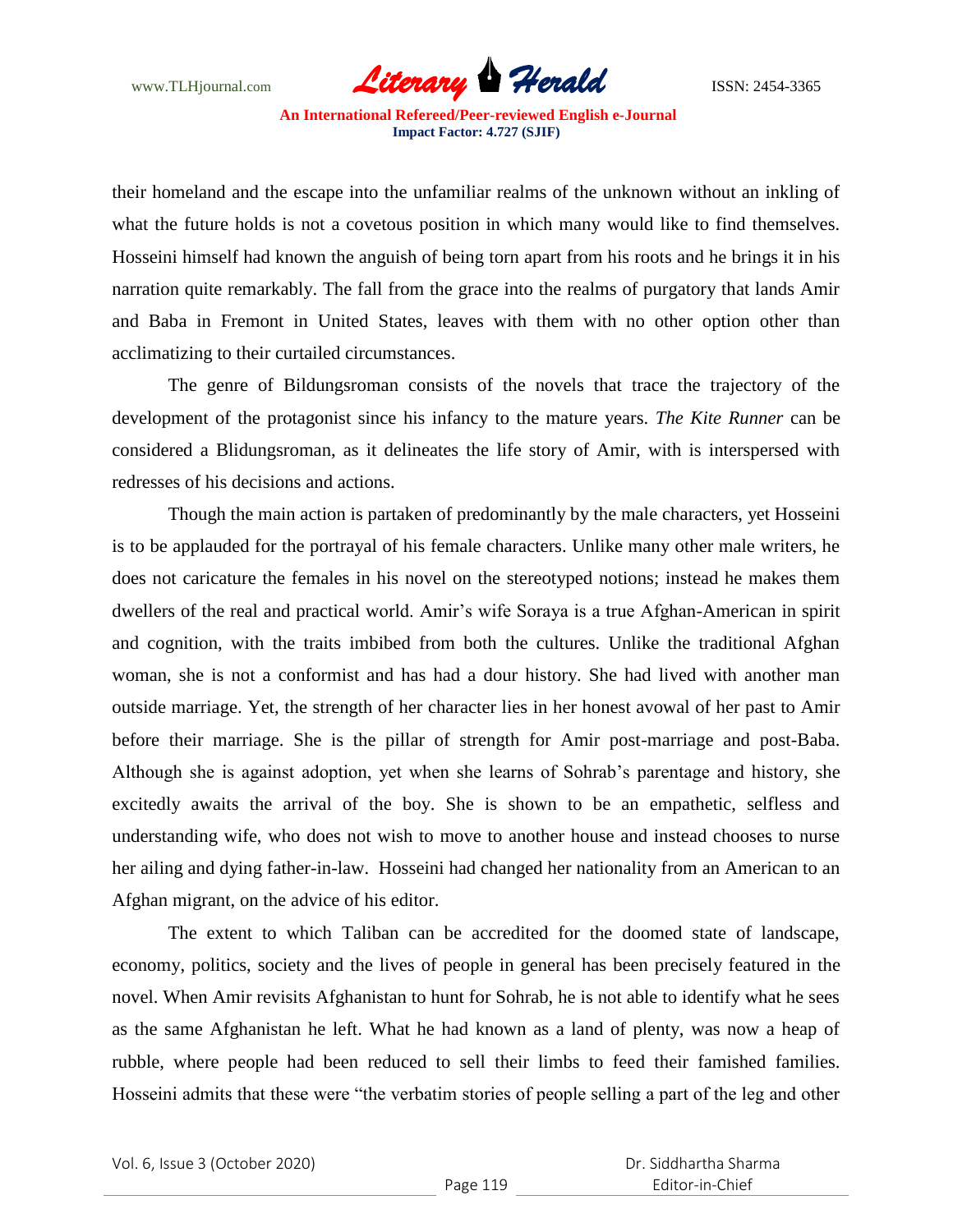

their homeland and the escape into the unfamiliar realms of the unknown without an inkling of what the future holds is not a covetous position in which many would like to find themselves. Hosseini himself had known the anguish of being torn apart from his roots and he brings it in his narration quite remarkably. The fall from the grace into the realms of purgatory that lands Amir and Baba in Fremont in United States, leaves with them with no other option other than acclimatizing to their curtailed circumstances.

The genre of Bildungsroman consists of the novels that trace the trajectory of the development of the protagonist since his infancy to the mature years. *The Kite Runner* can be considered a Blidungsroman, as it delineates the life story of Amir, with is interspersed with redresses of his decisions and actions.

Though the main action is partaken of predominantly by the male characters, yet Hosseini is to be applauded for the portrayal of his female characters. Unlike many other male writers, he does not caricature the females in his novel on the stereotyped notions; instead he makes them dwellers of the real and practical world. Amir"s wife Soraya is a true Afghan-American in spirit and cognition, with the traits imbibed from both the cultures. Unlike the traditional Afghan woman, she is not a conformist and has had a dour history. She had lived with another man outside marriage. Yet, the strength of her character lies in her honest avowal of her past to Amir before their marriage. She is the pillar of strength for Amir post-marriage and post-Baba. Although she is against adoption, yet when she learns of Sohrab"s parentage and history, she excitedly awaits the arrival of the boy. She is shown to be an empathetic, selfless and understanding wife, who does not wish to move to another house and instead chooses to nurse her ailing and dying father-in-law. Hosseini had changed her nationality from an American to an Afghan migrant, on the advice of his editor.

The extent to which Taliban can be accredited for the doomed state of landscape, economy, politics, society and the lives of people in general has been precisely featured in the novel. When Amir revisits Afghanistan to hunt for Sohrab, he is not able to identify what he sees as the same Afghanistan he left. What he had known as a land of plenty, was now a heap of rubble, where people had been reduced to sell their limbs to feed their famished families. Hosseini admits that these were "the verbatim stories of people selling a part of the leg and other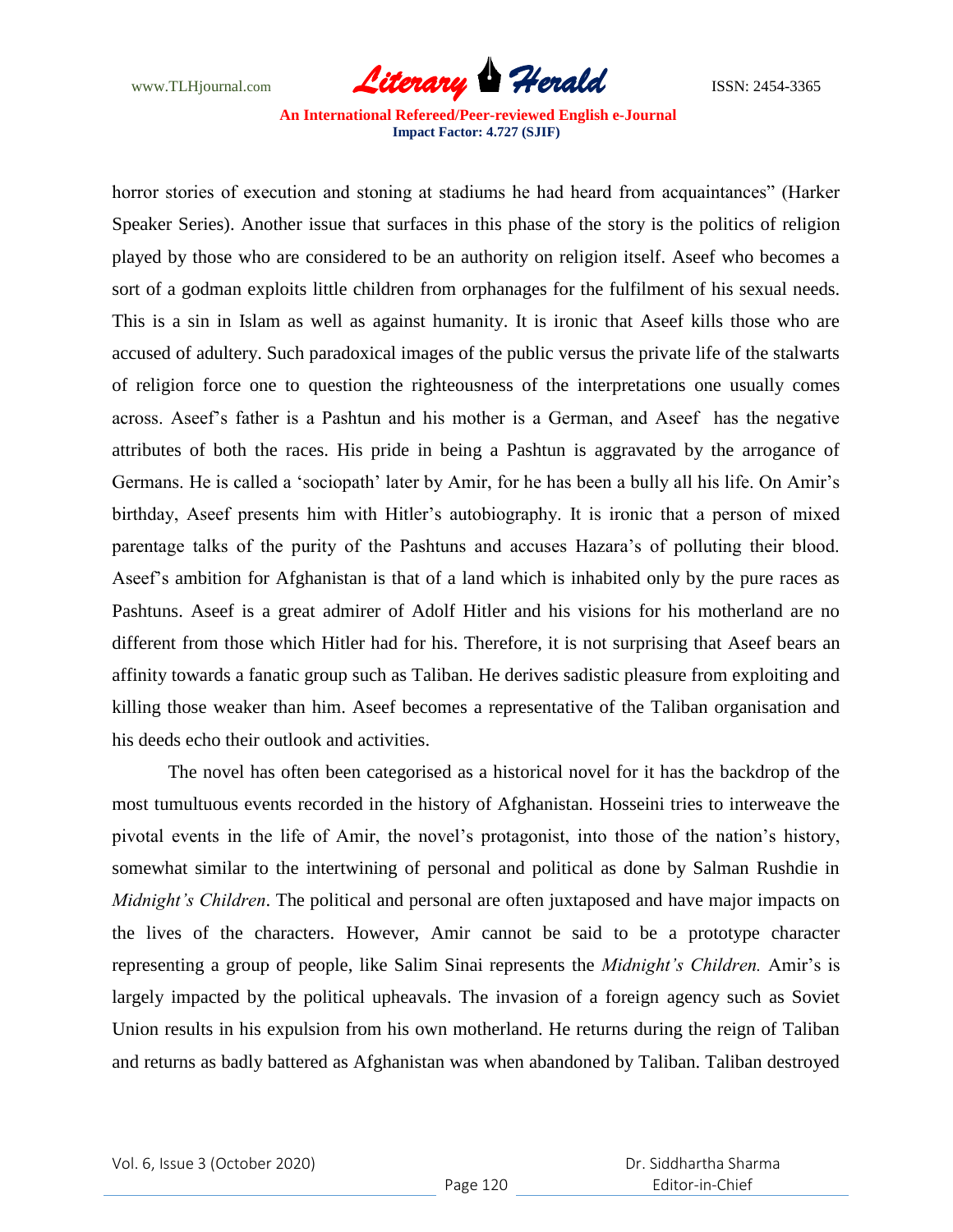

horror stories of execution and stoning at stadiums he had heard from acquaintances" (Harker Speaker Series). Another issue that surfaces in this phase of the story is the politics of religion played by those who are considered to be an authority on religion itself. Aseef who becomes a sort of a godman exploits little children from orphanages for the fulfilment of his sexual needs. This is a sin in Islam as well as against humanity. It is ironic that Aseef kills those who are accused of adultery. Such paradoxical images of the public versus the private life of the stalwarts of religion force one to question the righteousness of the interpretations one usually comes across. Aseef"s father is a Pashtun and his mother is a German, and Aseef has the negative attributes of both the races. His pride in being a Pashtun is aggravated by the arrogance of Germans. He is called a 'sociopath' later by Amir, for he has been a bully all his life. On Amir's birthday, Aseef presents him with Hitler"s autobiography. It is ironic that a person of mixed parentage talks of the purity of the Pashtuns and accuses Hazara"s of polluting their blood. Aseef"s ambition for Afghanistan is that of a land which is inhabited only by the pure races as Pashtuns. Aseef is a great admirer of Adolf Hitler and his visions for his motherland are no different from those which Hitler had for his. Therefore, it is not surprising that Aseef bears an affinity towards a fanatic group such as Taliban. He derives sadistic pleasure from exploiting and killing those weaker than him. Aseef becomes a representative of the Taliban organisation and his deeds echo their outlook and activities.

The novel has often been categorised as a historical novel for it has the backdrop of the most tumultuous events recorded in the history of Afghanistan. Hosseini tries to interweave the pivotal events in the life of Amir, the novel"s protagonist, into those of the nation"s history, somewhat similar to the intertwining of personal and political as done by Salman Rushdie in *Midnight's Children*. The political and personal are often juxtaposed and have major impacts on the lives of the characters. However, Amir cannot be said to be a prototype character representing a group of people, like Salim Sinai represents the *Midnight's Children.* Amir"s is largely impacted by the political upheavals. The invasion of a foreign agency such as Soviet Union results in his expulsion from his own motherland. He returns during the reign of Taliban and returns as badly battered as Afghanistan was when abandoned by Taliban. Taliban destroyed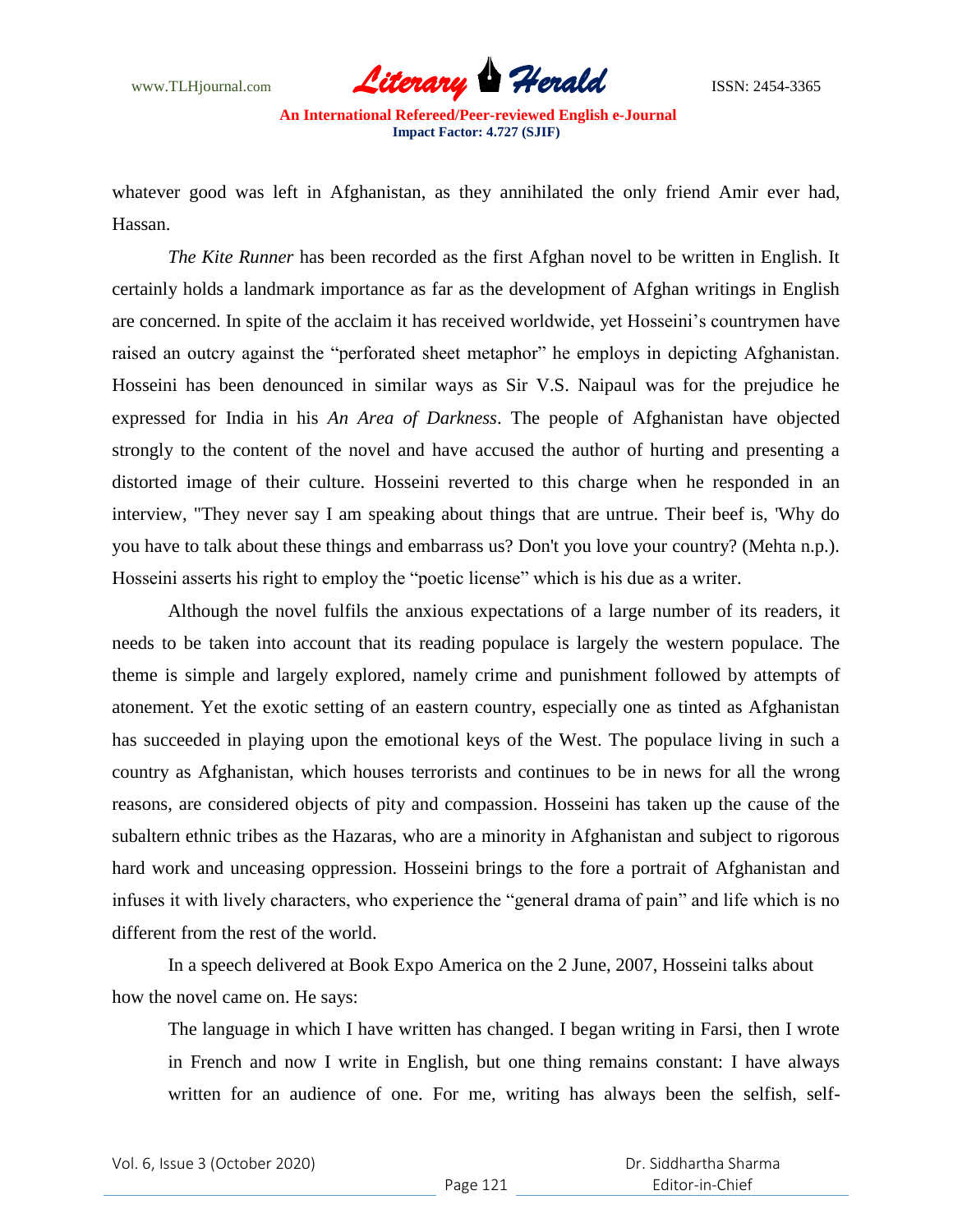

whatever good was left in Afghanistan, as they annihilated the only friend Amir ever had, Hassan.

*The Kite Runner* has been recorded as the first Afghan novel to be written in English. It certainly holds a landmark importance as far as the development of Afghan writings in English are concerned. In spite of the acclaim it has received worldwide, yet Hosseini"s countrymen have raised an outcry against the "perforated sheet metaphor" he employs in depicting Afghanistan. Hosseini has been denounced in similar ways as Sir V.S. Naipaul was for the prejudice he expressed for India in his *An Area of Darkness*. The people of Afghanistan have objected strongly to the content of the novel and have accused the author of hurting and presenting a distorted image of their culture. Hosseini reverted to this charge when he responded in an interview, "They never say I am speaking about things that are untrue. Their beef is, 'Why do you have to talk about these things and embarrass us? Don't you love your country? (Mehta n.p.). Hosseini asserts his right to employ the "poetic license" which is his due as a writer.

Although the novel fulfils the anxious expectations of a large number of its readers, it needs to be taken into account that its reading populace is largely the western populace. The theme is simple and largely explored, namely crime and punishment followed by attempts of atonement. Yet the exotic setting of an eastern country, especially one as tinted as Afghanistan has succeeded in playing upon the emotional keys of the West. The populace living in such a country as Afghanistan, which houses terrorists and continues to be in news for all the wrong reasons, are considered objects of pity and compassion. Hosseini has taken up the cause of the subaltern ethnic tribes as the Hazaras, who are a minority in Afghanistan and subject to rigorous hard work and unceasing oppression. Hosseini brings to the fore a portrait of Afghanistan and infuses it with lively characters, who experience the "general drama of pain" and life which is no different from the rest of the world.

In a speech delivered at Book Expo America on the 2 June, 2007, Hosseini talks about how the novel came on. He says:

The language in which I have written has changed. I began writing in Farsi, then I wrote in French and now I write in English, but one thing remains constant: I have always written for an audience of one. For me, writing has always been the selfish, self-

|  | Vol. 6, Issue 3 (October 2020) |
|--|--------------------------------|
|--|--------------------------------|